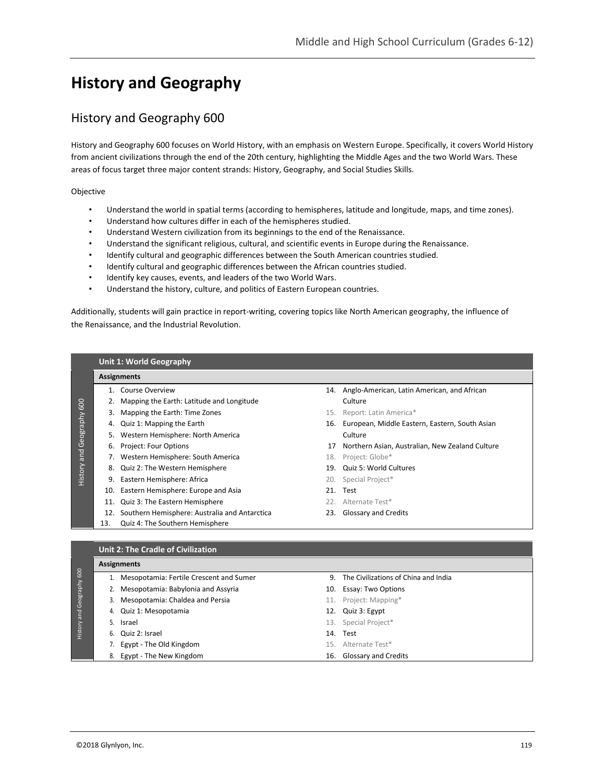# **History and Geography**

# History and Geography 600

History and Geography 600 focuses on World History, with an emphasis on Western Europe. Specifically, it covers World History from ancient civilizations through the end of the 20th century, highlighting the Middle Ages and the two World Wars. These areas of focus target three major content strands: History, Geography, and Social Studies Skills.

Objective

History and Geography 600

History and Geography 600

- Understand the world in spatial terms (according to hemispheres, latitude and longitude, maps, and time zones).
- Understand how cultures differ in each of the hemispheres studied.
- Understand Western civilization from its beginnings to the end of the Renaissance.
- Understand the significant religious, cultural, and scientific events in Europe during the Renaissance.
- Identify cultural and geographic differences between the South American countries studied.
- Identify cultural and geographic differences between the African countries studied.
- Identify key causes, events, and leaders of the two World Wars.
- Understand the history, culture, and politics of Eastern European countries.

Additionally, students will gain practice in report-writing, covering topics like North American geography, the influence of the Renaissance, and the Industrial Revolution.

#### **Unit 1: World Geography**

# **Assignments**

- 2. Mapping the Earth: Latitude and Longitude **Culture** Culture
- 3. Mapping the Earth: Time Zones 15. Report: Latin America\*
- 
- 5. Western Hemisphere: North America **Culture** Culture
- 
- 7. Western Hemisphere: South America 18. Project: Globe\*
- 8. Quiz 2: The Western Hemisphere 19. Quiz 5: World Cultures
- 9. Eastern Hemisphere: Africa 20. Special Project\*
	- 10. Eastern Hemisphere: Europe and Asia 21. Test
	- 11. Quiz 3: The Eastern Hemisphere 22. Alternate Test\*
	- 12. Southern Hemisphere: Australia and Antarctica 23. Glossary and Credits
	- 13. Quiz 4: The Southern Hemisphere
- 1. Course Overview 14. Anglo-American, Latin American, and African
	-
- 4. Quiz 1: Mapping the Earth 16. European, Middle Eastern, Eastern, South Asian
- 6. Project: Four Options 17 Northern Asian, Australian, New Zealand Culture
	-
	-
	-
	-
	-
	-

## **Unit 2: The Cradle of Civilization**

|    | 1. Mesopotamia: Fertile Crescent and Sumer | 9. The Civilizations of China and India |
|----|--------------------------------------------|-----------------------------------------|
|    | 2. Mesopotamia: Babylonia and Assyria      | 10. Essay: Two Options                  |
| 3. | Mesopotamia: Chaldea and Persia            | 11. Project: Mapping*                   |
|    | 4. Quiz 1: Mesopotamia                     | 12. Quiz 3: Egypt                       |
|    | 5. Israel                                  | 13. Special Project*                    |
|    | 6. Quiz 2: Israel                          | 14. Test                                |
|    | 7. Egypt - The Old Kingdom                 | 15. Alternate Test*                     |
|    | 8. Egypt - The New Kingdom                 | 16. Glossary and Credits                |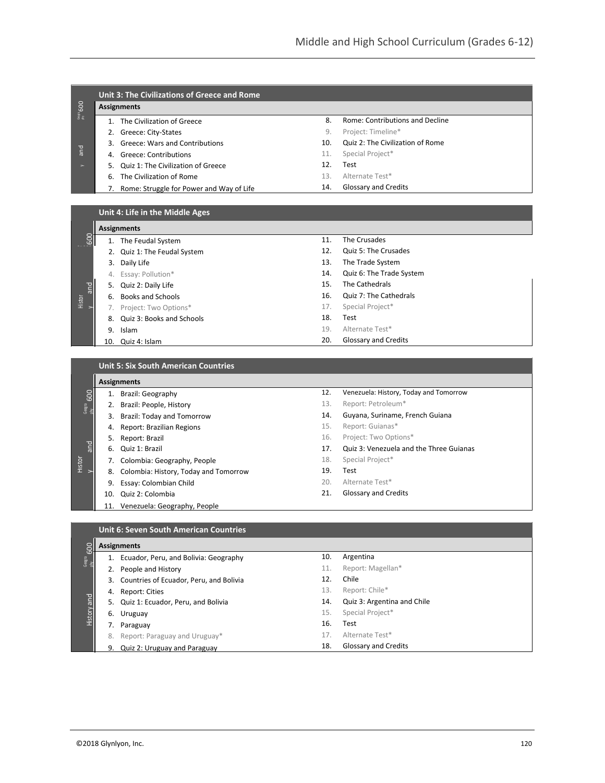| Unit 3: The Civilizations of Greece and Rome |     |                                  |  |  |
|----------------------------------------------|-----|----------------------------------|--|--|
| <b>Assignments</b>                           |     |                                  |  |  |
| The Civilization of Greece                   | 8.  | Rome: Contributions and Decline  |  |  |
| Greece: City-States<br>2.                    | 9.  | Project: Timeline*               |  |  |
| Greece: Wars and Contributions               | 10. | Quiz 2: The Civilization of Rome |  |  |
| 4. Greece: Contributions                     | 11. | Special Project*                 |  |  |
| 5. Quiz 1: The Civilization of Greece        | 12. | Test                             |  |  |
| The Civilization of Rome<br>6.               | 13. | Alternate Test*                  |  |  |
| Rome: Struggle for Power and Way of Life     | 14. | <b>Glossary and Credits</b>      |  |  |

| Unit 4: Life in the Middle Ages |  |
|---------------------------------|--|
|---------------------------------|--|

|               |    | <b>Assignments</b>           |     |                             |
|---------------|----|------------------------------|-----|-----------------------------|
| <b>POST</b>   |    | The Feudal System            | 11. | The Crusades                |
|               |    | 2. Quiz 1: The Feudal System | 12. | Quiz 5: The Crusades        |
|               |    | 3. Daily Life                | 13. | The Trade System            |
|               |    | 4. Essay: Pollution*         | 14. | Quiz 6: The Trade System    |
| and<br>Histor |    | 5. Quiz 2: Daily Life        | 15. | The Cathedrals              |
|               | 6. | <b>Books and Schools</b>     | 16. | Quiz 7: The Cathedrals      |
|               |    | Project: Two Options*        | 17. | Special Project*            |
|               |    | 8. Quiz 3: Books and Schools | 18. | Test                        |
|               | 9. | Islam                        | 19. | Alternate Test*             |
|               |    | 10. Quiz 4: Islam            | 20. | <b>Glossary and Credits</b> |

**Unit 5: Six South American Countries**

|               |     | <b>Assignments</b>                       |     |                                         |
|---------------|-----|------------------------------------------|-----|-----------------------------------------|
| 600           |     | 1. Brazil: Geography                     | 12. | Venezuela: History, Today and Tomorrow  |
| Geogra<br>phy |     | 2. Brazil: People, History               | 13. | Report: Petroleum*                      |
|               | 3.  | <b>Brazil: Today and Tomorrow</b>        | 14. | Guyana, Suriname, French Guiana         |
|               | 4.  | Report: Brazilian Regions                | 15. | Report: Guianas*                        |
|               | 5.  | Report: Brazil                           | 16. | Project: Two Options*                   |
| and           |     | 6. Quiz 1: Brazil                        | 17. | Quiz 3: Venezuela and the Three Guianas |
| Histor        |     | 7. Colombia: Geography, People           | 18. | Special Project*                        |
|               |     | 8. Colombia: History, Today and Tomorrow | 19. | Test                                    |
|               | 9.  | Essay: Colombian Child                   | 20. | Alternate Test*                         |
|               | 10. | Quiz 2: Colombia                         | 21. | <b>Glossary and Credits</b>             |
|               | 11. | Venezuela: Geography, People             |     |                                         |

| Assignments |
|-------------|
|             |
|             |

| <b>DO</b>     |    | <b>Assignments</b>                         |     |                             |  |
|---------------|----|--------------------------------------------|-----|-----------------------------|--|
| Geogra<br>phy |    | Ecuador, Peru, and Bolivia: Geography      | 10. | Argentina                   |  |
|               |    | 2. People and History                      | 11. | Report: Magellan*           |  |
|               |    | 3. Countries of Ecuador, Peru, and Bolivia | 12. | Chile                       |  |
|               | 4. | Report: Cities                             | 13. | Report: Chile*              |  |
| pue.          |    | 5. Quiz 1: Ecuador, Peru, and Bolivia      | 14. | Quiz 3: Argentina and Chile |  |
| History       |    | 6. Uruguay                                 | 15. | Special Project*            |  |
|               | 7. | Paraguay                                   | 16. | Test                        |  |
|               | 8. | Report: Paraguay and Uruguay*              | 17. | Alternate Test*             |  |
|               |    | 9. Quiz 2: Uruguay and Paraguay            | 18. | <b>Glossary and Credits</b> |  |
|               |    |                                            |     |                             |  |